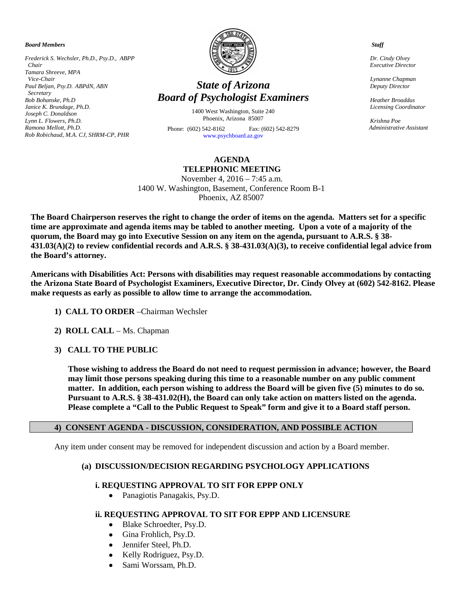*Board Members*

*Frederick S. Wechsler, Ph.D., Psy.D., ABPP Chair Tamara Shreeve, MPA Vice-Chair Paul Beljan, Psy.D. ABPdN, ABN Secretary Bob Bohanske, Ph.D Janice K. Brundage, Ph.D. Joseph C. Donaldson Lynn L. Flowers, Ph.D. Ramona Mellott, Ph.D. Rob Robichaud, M.A. CJ, SHRM-CP, PHR*



# *State of Arizona Board of Psychologist Examiners*

1400 West Washington, Suite 240 Phoenix, Arizona 85007 Phone: (602) 542-8162 Fax: (602) 542-8279 [www.psychboard.az.gov](http://www.psychboard.az.gov/) 

## **AGENDA TELEPHONIC MEETING**

November 4, 2016 – 7:45 a.m. 1400 W. Washington, Basement, Conference Room B-1 Phoenix, AZ 85007

**The Board Chairperson reserves the right to change the order of items on the agenda. Matters set for a specific time are approximate and agenda items may be tabled to another meeting. Upon a vote of a majority of the quorum, the Board may go into Executive Session on any item on the agenda, pursuant to A.R.S. § 38- 431.03(A)(2) to review confidential records and A.R.S. § 38-431.03(A)(3), to receive confidential legal advice from the Board's attorney.**

**Americans with Disabilities Act: Persons with disabilities may request reasonable accommodations by contacting the Arizona State Board of Psychologist Examiners, Executive Director, Dr. Cindy Olvey at (602) 542-8162. Please make requests as early as possible to allow time to arrange the accommodation.**

- **1) CALL TO ORDER** –Chairman Wechsler
- **2) ROLL CALL** Ms. Chapman
- **3) CALL TO THE PUBLIC**

**Those wishing to address the Board do not need to request permission in advance; however, the Board may limit those persons speaking during this time to a reasonable number on any public comment matter. In addition, each person wishing to address the Board will be given five (5) minutes to do so. Pursuant to A.R.S. § 38-431.02(H), the Board can only take action on matters listed on the agenda. Please complete a "Call to the Public Request to Speak" form and give it to a Board staff person.**

#### **4) CONSENT AGENDA - DISCUSSION, CONSIDERATION, AND POSSIBLE ACTION**

Any item under consent may be removed for independent discussion and action by a Board member.

#### **(a) DISCUSSION/DECISION REGARDING PSYCHOLOGY APPLICATIONS**

### **i. REQUESTING APPROVAL TO SIT FOR EPPP ONLY**

• Panagiotis Panagakis, Psy.D.

#### **ii. REQUESTING APPROVAL TO SIT FOR EPPP AND LICENSURE**

- Blake Schroedter, Psy.D.
- Gina Frohlich, Psy.D.
- Jennifer Steel, Ph.D.
- Kelly Rodriguez, Psy.D.
- Sami Worssam, Ph.D.

 *Staff*

 *Dr. Cindy Olvey Executive Director*

 *Lynanne Chapman Deputy Director*

 *Heather Broaddus Licensing Coordinator* 

 *Krishna Poe Administrative Assistant*